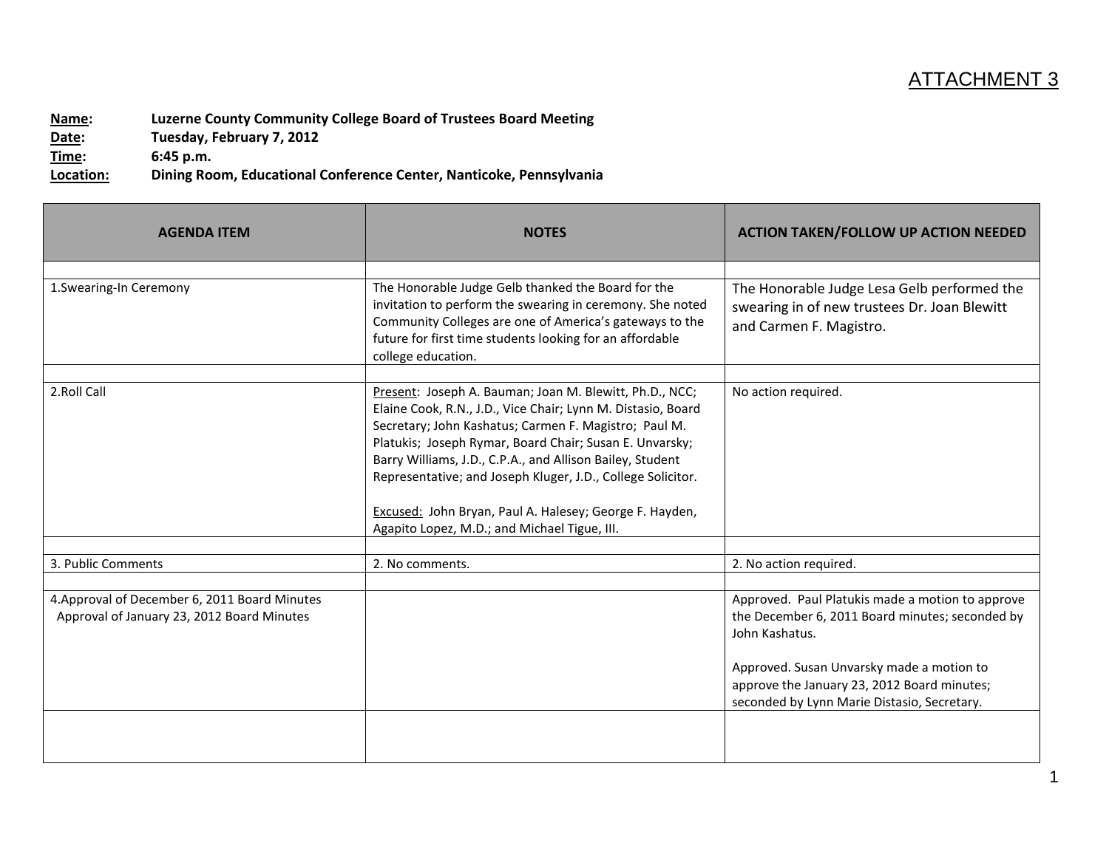## ATTACHMENT 3

**Name: Luzerne County Community College Board of Trustees Board Meeting Date: Tuesday, February 7, 2012 Time: 6:45 p.m.**

**Location: Dining Room, Educational Conference Center, Nanticoke, Pennsylvania**

| <b>AGENDA ITEM</b>                                                                          | <b>NOTES</b>                                                                                                                                                                                                                                                                                                                                                                                                                                                                       | <b>ACTION TAKEN/FOLLOW UP ACTION NEEDED</b>                                                                                                                                                                                                                      |
|---------------------------------------------------------------------------------------------|------------------------------------------------------------------------------------------------------------------------------------------------------------------------------------------------------------------------------------------------------------------------------------------------------------------------------------------------------------------------------------------------------------------------------------------------------------------------------------|------------------------------------------------------------------------------------------------------------------------------------------------------------------------------------------------------------------------------------------------------------------|
| 1. Swearing-In Ceremony                                                                     | The Honorable Judge Gelb thanked the Board for the<br>invitation to perform the swearing in ceremony. She noted<br>Community Colleges are one of America's gateways to the<br>future for first time students looking for an affordable<br>college education.                                                                                                                                                                                                                       | The Honorable Judge Lesa Gelb performed the<br>swearing in of new trustees Dr. Joan Blewitt<br>and Carmen F. Magistro.                                                                                                                                           |
| 2.Roll Call                                                                                 | Present: Joseph A. Bauman; Joan M. Blewitt, Ph.D., NCC;<br>Elaine Cook, R.N., J.D., Vice Chair; Lynn M. Distasio, Board<br>Secretary; John Kashatus; Carmen F. Magistro; Paul M.<br>Platukis; Joseph Rymar, Board Chair; Susan E. Unvarsky;<br>Barry Williams, J.D., C.P.A., and Allison Bailey, Student<br>Representative; and Joseph Kluger, J.D., College Solicitor.<br>Excused: John Bryan, Paul A. Halesey; George F. Hayden,<br>Agapito Lopez, M.D.; and Michael Tigue, III. | No action required.                                                                                                                                                                                                                                              |
| 3. Public Comments                                                                          | 2. No comments.                                                                                                                                                                                                                                                                                                                                                                                                                                                                    | 2. No action required.                                                                                                                                                                                                                                           |
| 4. Approval of December 6, 2011 Board Minutes<br>Approval of January 23, 2012 Board Minutes |                                                                                                                                                                                                                                                                                                                                                                                                                                                                                    | Approved. Paul Platukis made a motion to approve<br>the December 6, 2011 Board minutes; seconded by<br>John Kashatus.<br>Approved. Susan Unvarsky made a motion to<br>approve the January 23, 2012 Board minutes;<br>seconded by Lynn Marie Distasio, Secretary. |
|                                                                                             |                                                                                                                                                                                                                                                                                                                                                                                                                                                                                    |                                                                                                                                                                                                                                                                  |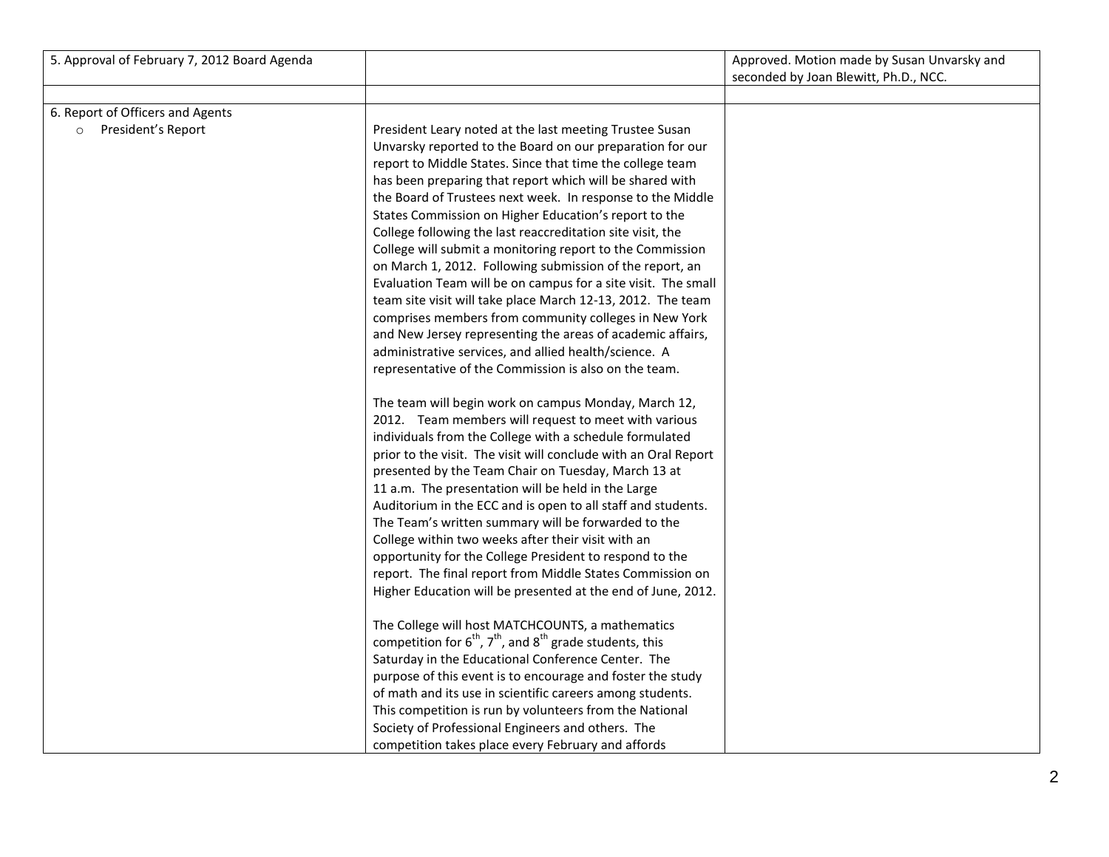| 5. Approval of February 7, 2012 Board Agenda                      |                                                                                                                                                                                                                                                                                                                                                                                                                                                                                                                                                                                                                                                                                                                                                                                                                                                                                                                                      | Approved. Motion made by Susan Unvarsky and |
|-------------------------------------------------------------------|--------------------------------------------------------------------------------------------------------------------------------------------------------------------------------------------------------------------------------------------------------------------------------------------------------------------------------------------------------------------------------------------------------------------------------------------------------------------------------------------------------------------------------------------------------------------------------------------------------------------------------------------------------------------------------------------------------------------------------------------------------------------------------------------------------------------------------------------------------------------------------------------------------------------------------------|---------------------------------------------|
|                                                                   |                                                                                                                                                                                                                                                                                                                                                                                                                                                                                                                                                                                                                                                                                                                                                                                                                                                                                                                                      | seconded by Joan Blewitt, Ph.D., NCC.       |
|                                                                   |                                                                                                                                                                                                                                                                                                                                                                                                                                                                                                                                                                                                                                                                                                                                                                                                                                                                                                                                      |                                             |
| 6. Report of Officers and Agents<br>President's Report<br>$\circ$ | President Leary noted at the last meeting Trustee Susan<br>Unvarsky reported to the Board on our preparation for our<br>report to Middle States. Since that time the college team<br>has been preparing that report which will be shared with<br>the Board of Trustees next week. In response to the Middle<br>States Commission on Higher Education's report to the<br>College following the last reaccreditation site visit, the<br>College will submit a monitoring report to the Commission<br>on March 1, 2012. Following submission of the report, an<br>Evaluation Team will be on campus for a site visit. The small<br>team site visit will take place March 12-13, 2012. The team<br>comprises members from community colleges in New York<br>and New Jersey representing the areas of academic affairs,<br>administrative services, and allied health/science. A<br>representative of the Commission is also on the team. |                                             |
|                                                                   | The team will begin work on campus Monday, March 12,<br>2012. Team members will request to meet with various<br>individuals from the College with a schedule formulated<br>prior to the visit. The visit will conclude with an Oral Report<br>presented by the Team Chair on Tuesday, March 13 at<br>11 a.m. The presentation will be held in the Large<br>Auditorium in the ECC and is open to all staff and students.<br>The Team's written summary will be forwarded to the<br>College within two weeks after their visit with an<br>opportunity for the College President to respond to the<br>report. The final report from Middle States Commission on<br>Higher Education will be presented at the end of June, 2012.<br>The College will host MATCHCOUNTS, a mathematics                                                                                                                                                     |                                             |
|                                                                   | competition for $6^{th}$ , $7^{th}$ , and $8^{th}$ grade students, this<br>Saturday in the Educational Conference Center. The<br>purpose of this event is to encourage and foster the study<br>of math and its use in scientific careers among students.<br>This competition is run by volunteers from the National<br>Society of Professional Engineers and others. The<br>competition takes place every February and affords                                                                                                                                                                                                                                                                                                                                                                                                                                                                                                       |                                             |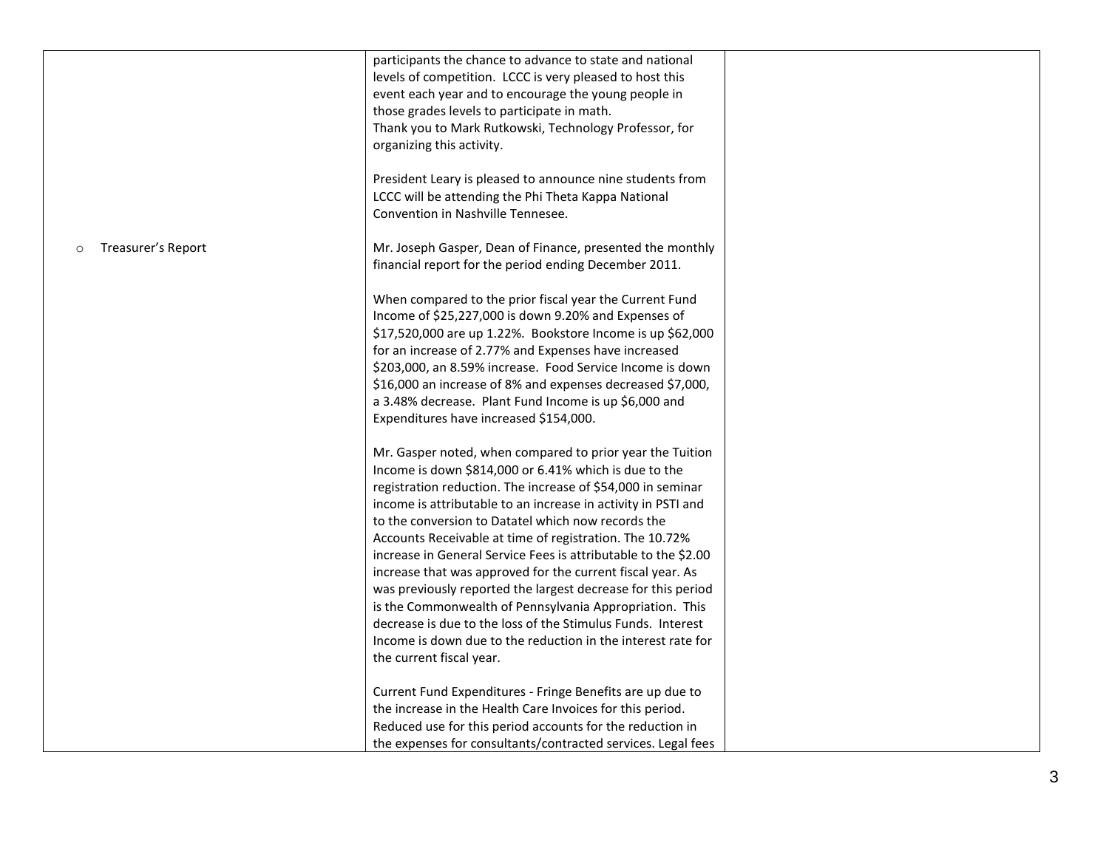|                               | participants the chance to advance to state and national<br>levels of competition. LCCC is very pleased to host this<br>event each year and to encourage the young people in<br>those grades levels to participate in math.<br>Thank you to Mark Rutkowski, Technology Professor, for<br>organizing this activity.<br>President Leary is pleased to announce nine students from<br>LCCC will be attending the Phi Theta Kappa National<br>Convention in Nashville Tennesee.                                                                                                                                                                                                                                                                                                               |  |
|-------------------------------|-------------------------------------------------------------------------------------------------------------------------------------------------------------------------------------------------------------------------------------------------------------------------------------------------------------------------------------------------------------------------------------------------------------------------------------------------------------------------------------------------------------------------------------------------------------------------------------------------------------------------------------------------------------------------------------------------------------------------------------------------------------------------------------------|--|
| Treasurer's Report<br>$\circ$ | Mr. Joseph Gasper, Dean of Finance, presented the monthly<br>financial report for the period ending December 2011.                                                                                                                                                                                                                                                                                                                                                                                                                                                                                                                                                                                                                                                                        |  |
|                               | When compared to the prior fiscal year the Current Fund<br>Income of \$25,227,000 is down 9.20% and Expenses of<br>\$17,520,000 are up 1.22%. Bookstore Income is up \$62,000<br>for an increase of 2.77% and Expenses have increased<br>\$203,000, an 8.59% increase. Food Service Income is down<br>\$16,000 an increase of 8% and expenses decreased \$7,000,<br>a 3.48% decrease. Plant Fund Income is up \$6,000 and<br>Expenditures have increased \$154,000.                                                                                                                                                                                                                                                                                                                       |  |
|                               | Mr. Gasper noted, when compared to prior year the Tuition<br>Income is down \$814,000 or 6.41% which is due to the<br>registration reduction. The increase of \$54,000 in seminar<br>income is attributable to an increase in activity in PSTI and<br>to the conversion to Datatel which now records the<br>Accounts Receivable at time of registration. The 10.72%<br>increase in General Service Fees is attributable to the \$2.00<br>increase that was approved for the current fiscal year. As<br>was previously reported the largest decrease for this period<br>is the Commonwealth of Pennsylvania Appropriation. This<br>decrease is due to the loss of the Stimulus Funds. Interest<br>Income is down due to the reduction in the interest rate for<br>the current fiscal year. |  |
|                               | Current Fund Expenditures - Fringe Benefits are up due to<br>the increase in the Health Care Invoices for this period.<br>Reduced use for this period accounts for the reduction in<br>the expenses for consultants/contracted services. Legal fees                                                                                                                                                                                                                                                                                                                                                                                                                                                                                                                                       |  |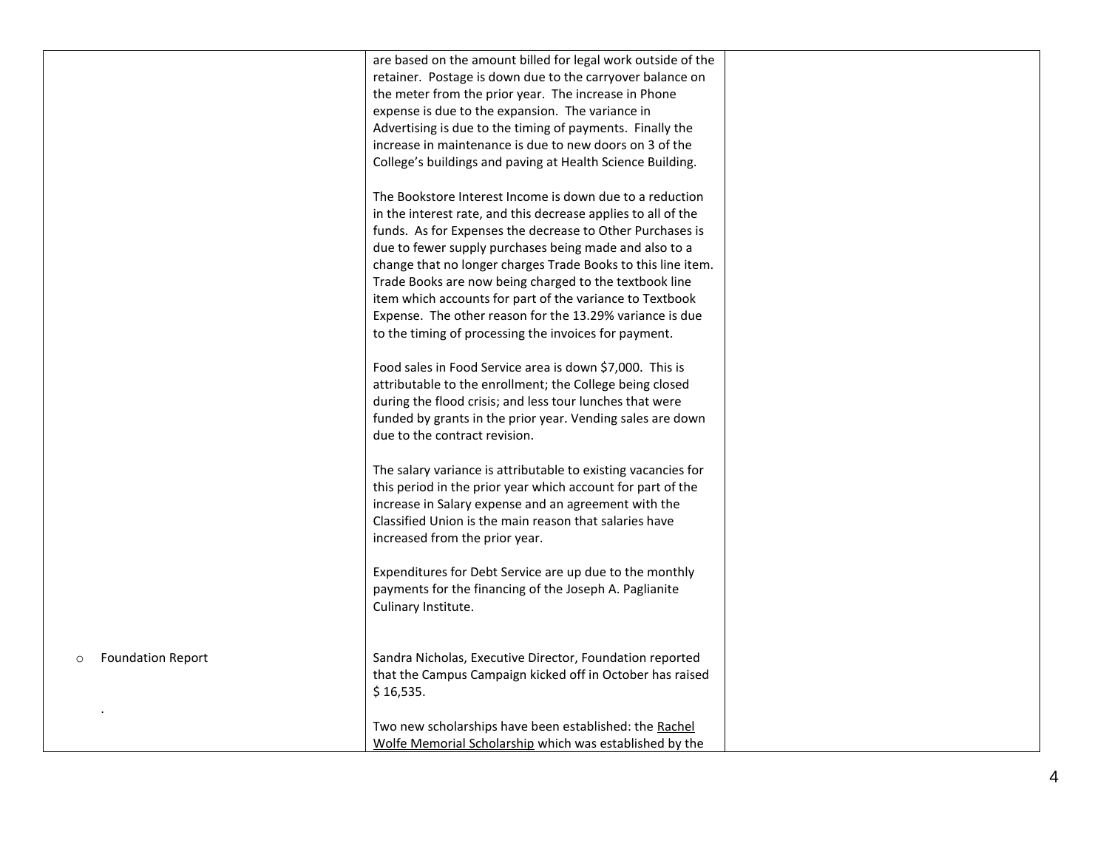|                                     | are based on the amount billed for legal work outside of the  |  |
|-------------------------------------|---------------------------------------------------------------|--|
|                                     | retainer. Postage is down due to the carryover balance on     |  |
|                                     | the meter from the prior year. The increase in Phone          |  |
|                                     | expense is due to the expansion. The variance in              |  |
|                                     | Advertising is due to the timing of payments. Finally the     |  |
|                                     | increase in maintenance is due to new doors on 3 of the       |  |
|                                     | College's buildings and paving at Health Science Building.    |  |
|                                     |                                                               |  |
|                                     | The Bookstore Interest Income is down due to a reduction      |  |
|                                     | in the interest rate, and this decrease applies to all of the |  |
|                                     | funds. As for Expenses the decrease to Other Purchases is     |  |
|                                     | due to fewer supply purchases being made and also to a        |  |
|                                     | change that no longer charges Trade Books to this line item.  |  |
|                                     | Trade Books are now being charged to the textbook line        |  |
|                                     | item which accounts for part of the variance to Textbook      |  |
|                                     | Expense. The other reason for the 13.29% variance is due      |  |
|                                     | to the timing of processing the invoices for payment.         |  |
|                                     |                                                               |  |
|                                     | Food sales in Food Service area is down \$7,000. This is      |  |
|                                     | attributable to the enrollment; the College being closed      |  |
|                                     | during the flood crisis; and less tour lunches that were      |  |
|                                     |                                                               |  |
|                                     | funded by grants in the prior year. Vending sales are down    |  |
|                                     | due to the contract revision.                                 |  |
|                                     |                                                               |  |
|                                     | The salary variance is attributable to existing vacancies for |  |
|                                     | this period in the prior year which account for part of the   |  |
|                                     | increase in Salary expense and an agreement with the          |  |
|                                     | Classified Union is the main reason that salaries have        |  |
|                                     | increased from the prior year.                                |  |
|                                     |                                                               |  |
|                                     | Expenditures for Debt Service are up due to the monthly       |  |
|                                     | payments for the financing of the Joseph A. Paglianite        |  |
|                                     | Culinary Institute.                                           |  |
|                                     |                                                               |  |
|                                     |                                                               |  |
| <b>Foundation Report</b><br>$\circ$ | Sandra Nicholas, Executive Director, Foundation reported      |  |
|                                     | that the Campus Campaign kicked off in October has raised     |  |
|                                     | \$16,535.                                                     |  |
|                                     |                                                               |  |
|                                     | Two new scholarships have been established: the Rachel        |  |
|                                     | Wolfe Memorial Scholarship which was established by the       |  |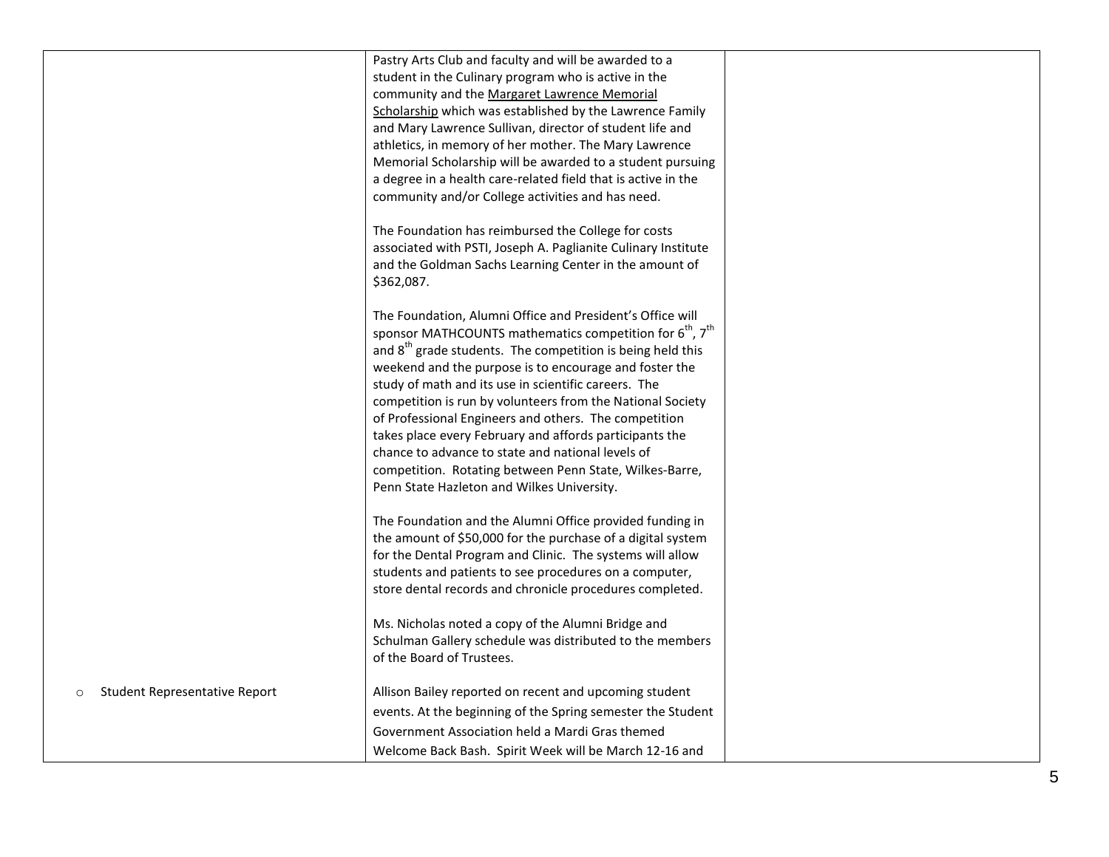|                                          | Pastry Arts Club and faculty and will be awarded to a                                                                                         |  |
|------------------------------------------|-----------------------------------------------------------------------------------------------------------------------------------------------|--|
|                                          | student in the Culinary program who is active in the                                                                                          |  |
|                                          | community and the Margaret Lawrence Memorial                                                                                                  |  |
|                                          | Scholarship which was established by the Lawrence Family                                                                                      |  |
|                                          | and Mary Lawrence Sullivan, director of student life and                                                                                      |  |
|                                          | athletics, in memory of her mother. The Mary Lawrence                                                                                         |  |
|                                          | Memorial Scholarship will be awarded to a student pursuing                                                                                    |  |
|                                          | a degree in a health care-related field that is active in the                                                                                 |  |
|                                          | community and/or College activities and has need.                                                                                             |  |
|                                          | The Foundation has reimbursed the College for costs<br>associated with PSTI, Joseph A. Paglianite Culinary Institute                          |  |
|                                          | and the Goldman Sachs Learning Center in the amount of                                                                                        |  |
|                                          | \$362,087.                                                                                                                                    |  |
|                                          | The Foundation, Alumni Office and President's Office will<br>sponsor MATHCOUNTS mathematics competition for 6 <sup>th</sup> , 7 <sup>th</sup> |  |
|                                          | and 8 <sup>th</sup> grade students. The competition is being held this                                                                        |  |
|                                          | weekend and the purpose is to encourage and foster the                                                                                        |  |
|                                          | study of math and its use in scientific careers. The<br>competition is run by volunteers from the National Society                            |  |
|                                          | of Professional Engineers and others. The competition                                                                                         |  |
|                                          | takes place every February and affords participants the                                                                                       |  |
|                                          | chance to advance to state and national levels of                                                                                             |  |
|                                          | competition. Rotating between Penn State, Wilkes-Barre,                                                                                       |  |
|                                          | Penn State Hazleton and Wilkes University.                                                                                                    |  |
|                                          |                                                                                                                                               |  |
|                                          | The Foundation and the Alumni Office provided funding in                                                                                      |  |
|                                          | the amount of \$50,000 for the purchase of a digital system                                                                                   |  |
|                                          | for the Dental Program and Clinic. The systems will allow                                                                                     |  |
|                                          | students and patients to see procedures on a computer,                                                                                        |  |
|                                          | store dental records and chronicle procedures completed.                                                                                      |  |
|                                          | Ms. Nicholas noted a copy of the Alumni Bridge and                                                                                            |  |
|                                          | Schulman Gallery schedule was distributed to the members                                                                                      |  |
|                                          | of the Board of Trustees.                                                                                                                     |  |
| Student Representative Report<br>$\circ$ | Allison Bailey reported on recent and upcoming student                                                                                        |  |
|                                          | events. At the beginning of the Spring semester the Student                                                                                   |  |
|                                          | Government Association held a Mardi Gras themed                                                                                               |  |
|                                          | Welcome Back Bash. Spirit Week will be March 12-16 and                                                                                        |  |
|                                          |                                                                                                                                               |  |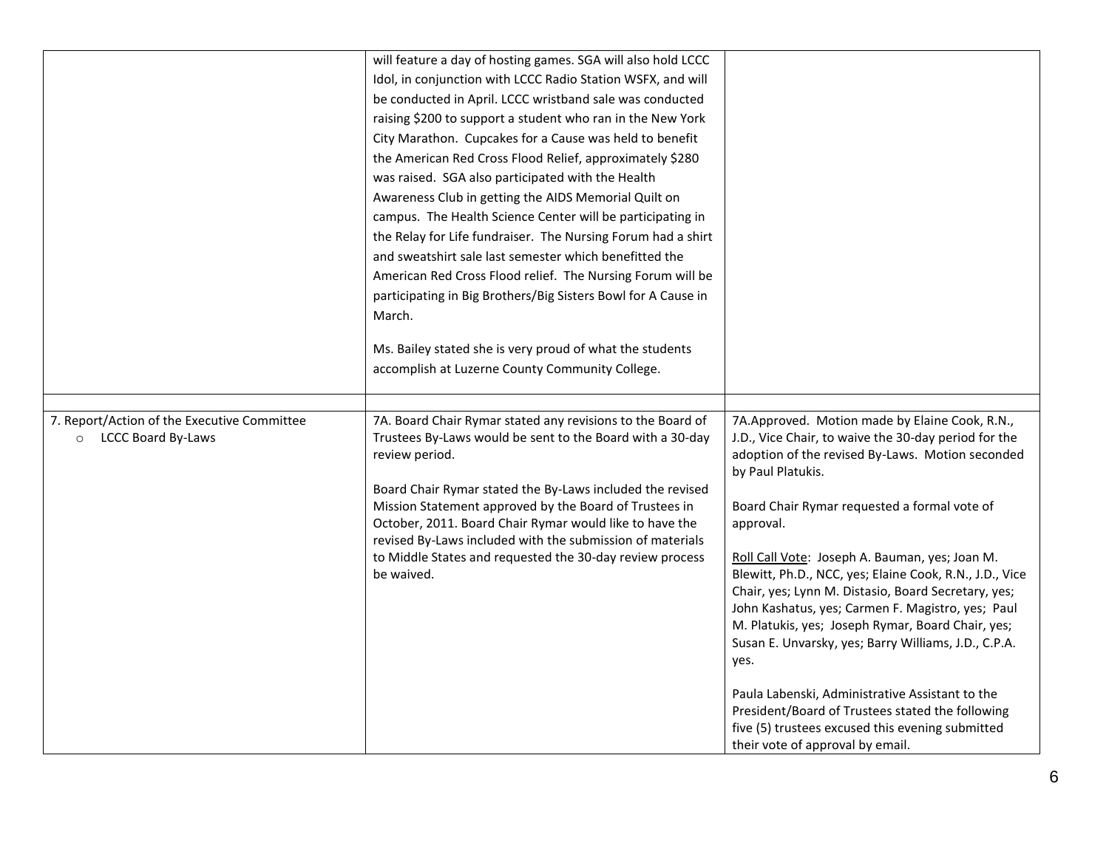|                                                                              | will feature a day of hosting games. SGA will also hold LCCC<br>Idol, in conjunction with LCCC Radio Station WSFX, and will<br>be conducted in April. LCCC wristband sale was conducted<br>raising \$200 to support a student who ran in the New York<br>City Marathon. Cupcakes for a Cause was held to benefit                                                                                                            |                                                                                                                                                                                                                                                                                                                                                                                                         |
|------------------------------------------------------------------------------|-----------------------------------------------------------------------------------------------------------------------------------------------------------------------------------------------------------------------------------------------------------------------------------------------------------------------------------------------------------------------------------------------------------------------------|---------------------------------------------------------------------------------------------------------------------------------------------------------------------------------------------------------------------------------------------------------------------------------------------------------------------------------------------------------------------------------------------------------|
|                                                                              | the American Red Cross Flood Relief, approximately \$280<br>was raised. SGA also participated with the Health<br>Awareness Club in getting the AIDS Memorial Quilt on<br>campus. The Health Science Center will be participating in<br>the Relay for Life fundraiser. The Nursing Forum had a shirt<br>and sweatshirt sale last semester which benefitted the<br>American Red Cross Flood relief. The Nursing Forum will be |                                                                                                                                                                                                                                                                                                                                                                                                         |
|                                                                              | participating in Big Brothers/Big Sisters Bowl for A Cause in<br>March.<br>Ms. Bailey stated she is very proud of what the students<br>accomplish at Luzerne County Community College.                                                                                                                                                                                                                                      |                                                                                                                                                                                                                                                                                                                                                                                                         |
| 7. Report/Action of the Executive Committee<br>LCCC Board By-Laws<br>$\circ$ | 7A. Board Chair Rymar stated any revisions to the Board of<br>Trustees By-Laws would be sent to the Board with a 30-day<br>review period.                                                                                                                                                                                                                                                                                   | 7A.Approved. Motion made by Elaine Cook, R.N.,<br>J.D., Vice Chair, to waive the 30-day period for the<br>adoption of the revised By-Laws. Motion seconded<br>by Paul Platukis.                                                                                                                                                                                                                         |
|                                                                              | Board Chair Rymar stated the By-Laws included the revised<br>Mission Statement approved by the Board of Trustees in<br>October, 2011. Board Chair Rymar would like to have the<br>revised By-Laws included with the submission of materials<br>to Middle States and requested the 30-day review process<br>be waived.                                                                                                       | Board Chair Rymar requested a formal vote of<br>approval.<br>Roll Call Vote: Joseph A. Bauman, yes; Joan M.<br>Blewitt, Ph.D., NCC, yes; Elaine Cook, R.N., J.D., Vice<br>Chair, yes; Lynn M. Distasio, Board Secretary, yes;<br>John Kashatus, yes; Carmen F. Magistro, yes; Paul<br>M. Platukis, yes; Joseph Rymar, Board Chair, yes;<br>Susan E. Unvarsky, yes; Barry Williams, J.D., C.P.A.<br>yes. |
|                                                                              |                                                                                                                                                                                                                                                                                                                                                                                                                             | Paula Labenski, Administrative Assistant to the<br>President/Board of Trustees stated the following<br>five (5) trustees excused this evening submitted<br>their vote of approval by email.                                                                                                                                                                                                             |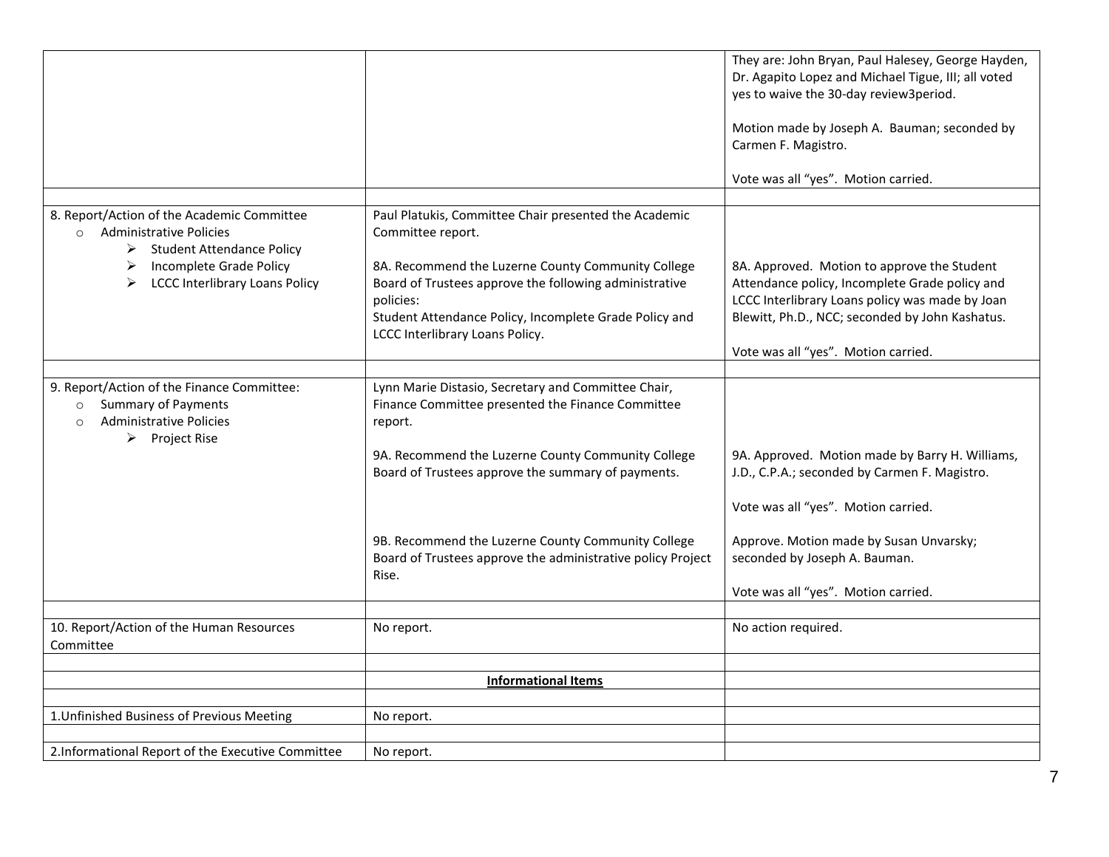|                                                                                                                                                                                     | They are: John Bryan, Paul Halesey, George Hayden,<br>Dr. Agapito Lopez and Michael Tigue, III; all voted<br>yes to waive the 30-day review3period.                                                 |
|-------------------------------------------------------------------------------------------------------------------------------------------------------------------------------------|-----------------------------------------------------------------------------------------------------------------------------------------------------------------------------------------------------|
|                                                                                                                                                                                     | Motion made by Joseph A. Bauman; seconded by<br>Carmen F. Magistro.                                                                                                                                 |
|                                                                                                                                                                                     | Vote was all "yes". Motion carried.                                                                                                                                                                 |
|                                                                                                                                                                                     |                                                                                                                                                                                                     |
| Committee report.                                                                                                                                                                   |                                                                                                                                                                                                     |
| 8A. Recommend the Luzerne County Community College<br>Board of Trustees approve the following administrative<br>policies:<br>Student Attendance Policy, Incomplete Grade Policy and | 8A. Approved. Motion to approve the Student<br>Attendance policy, Incomplete Grade policy and<br>LCCC Interlibrary Loans policy was made by Joan<br>Blewitt, Ph.D., NCC; seconded by John Kashatus. |
|                                                                                                                                                                                     | Vote was all "yes". Motion carried.                                                                                                                                                                 |
|                                                                                                                                                                                     |                                                                                                                                                                                                     |
| Lynn Marie Distasio, Secretary and Committee Chair,<br>Finance Committee presented the Finance Committee<br>report.                                                                 |                                                                                                                                                                                                     |
| 9A. Recommend the Luzerne County Community College<br>Board of Trustees approve the summary of payments.                                                                            | 9A. Approved. Motion made by Barry H. Williams,<br>J.D., C.P.A.; seconded by Carmen F. Magistro.                                                                                                    |
|                                                                                                                                                                                     | Vote was all "yes". Motion carried.                                                                                                                                                                 |
| 9B. Recommend the Luzerne County Community College<br>Board of Trustees approve the administrative policy Project<br>Rise.                                                          | Approve. Motion made by Susan Unvarsky;<br>seconded by Joseph A. Bauman.                                                                                                                            |
|                                                                                                                                                                                     | Vote was all "yes". Motion carried.                                                                                                                                                                 |
| No report.                                                                                                                                                                          | No action required.                                                                                                                                                                                 |
|                                                                                                                                                                                     |                                                                                                                                                                                                     |
|                                                                                                                                                                                     |                                                                                                                                                                                                     |
| No report.                                                                                                                                                                          |                                                                                                                                                                                                     |
| No report.                                                                                                                                                                          |                                                                                                                                                                                                     |
|                                                                                                                                                                                     | Paul Platukis, Committee Chair presented the Academic<br>LCCC Interlibrary Loans Policy.<br><b>Informational Items</b>                                                                              |